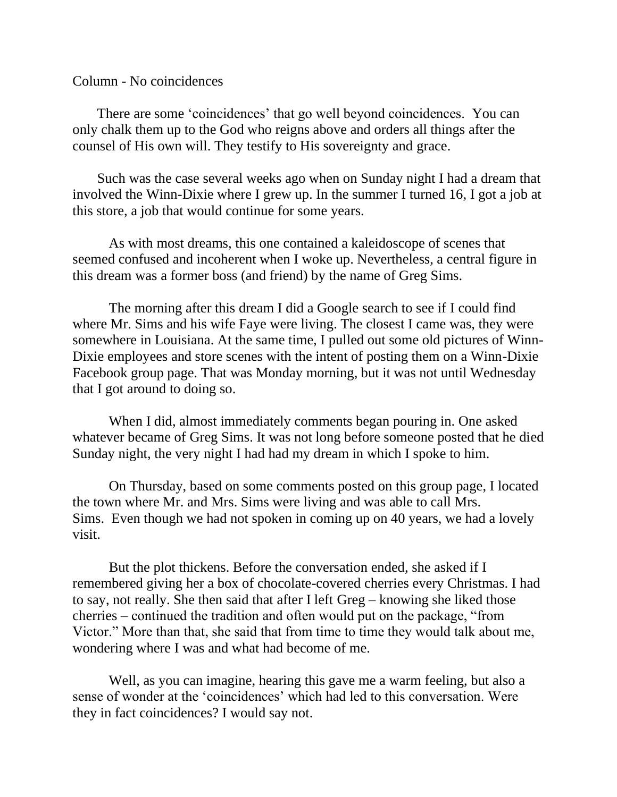Column - No coincidences

 There are some 'coincidences' that go well beyond coincidences. You can only chalk them up to the God who reigns above and orders all things after the counsel of His own will. They testify to His sovereignty and grace.

 Such was the case several weeks ago when on Sunday night I had a dream that involved the Winn-Dixie where I grew up. In the summer I turned 16, I got a job at this store, a job that would continue for some years.

As with most dreams, this one contained a kaleidoscope of scenes that seemed confused and incoherent when I woke up. Nevertheless, a central figure in this dream was a former boss (and friend) by the name of Greg Sims.

The morning after this dream I did a Google search to see if I could find where Mr. Sims and his wife Faye were living. The closest I came was, they were somewhere in Louisiana. At the same time, I pulled out some old pictures of Winn-Dixie employees and store scenes with the intent of posting them on a Winn-Dixie Facebook group page. That was Monday morning, but it was not until Wednesday that I got around to doing so.

When I did, almost immediately comments began pouring in. One asked whatever became of Greg Sims. It was not long before someone posted that he died Sunday night, the very night I had had my dream in which I spoke to him.

On Thursday, based on some comments posted on this group page, I located the town where Mr. and Mrs. Sims were living and was able to call Mrs. Sims. Even though we had not spoken in coming up on 40 years, we had a lovely visit.

But the plot thickens. Before the conversation ended, she asked if I remembered giving her a box of chocolate-covered cherries every Christmas. I had to say, not really. She then said that after I left Greg – knowing she liked those cherries – continued the tradition and often would put on the package, "from Victor." More than that, she said that from time to time they would talk about me, wondering where I was and what had become of me.

Well, as you can imagine, hearing this gave me a warm feeling, but also a sense of wonder at the 'coincidences' which had led to this conversation. Were they in fact coincidences? I would say not.